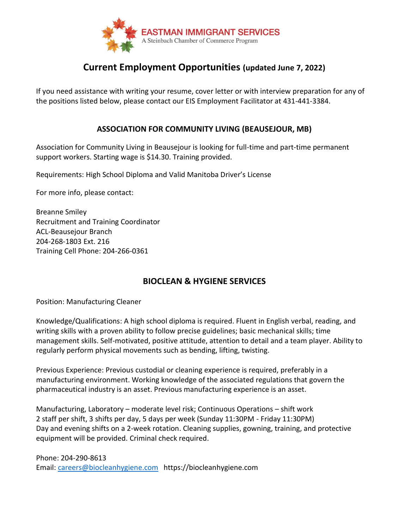

# **Current Employment Opportunities (updated June 7, 2022)**

If you need assistance with writing your resume, cover letter or with interview preparation for any of the positions listed below, please contact our EIS Employment Facilitator at 431-441-3384.

# **ASSOCIATION FOR COMMUNITY LIVING (BEAUSEJOUR, MB)**

Association for Community Living in Beausejour is looking for full-time and part-time permanent support workers. Starting wage is \$14.30. Training provided.

Requirements: High School Diploma and Valid Manitoba Driver's License

For more info, please contact:

Breanne Smiley Recruitment and Training Coordinator ACL-Beausejour Branch 204-268-1803 Ext. 216 Training Cell Phone: 204-266-0361

# **BIOCLEAN & HYGIENE SERVICES**

Position: Manufacturing Cleaner

Knowledge/Qualifications: A high school diploma is required. Fluent in English verbal, reading, and writing skills with a proven ability to follow precise guidelines; basic mechanical skills; time management skills. Self-motivated, positive attitude, attention to detail and a team player. Ability to regularly perform physical movements such as bending, lifting, twisting.

Previous Experience: Previous custodial or cleaning experience is required, preferably in a manufacturing environment. Working knowledge of the associated regulations that govern the pharmaceutical industry is an asset. Previous manufacturing experience is an asset.

Manufacturing, Laboratory – moderate level risk; Continuous Operations – shift work 2 staff per shift, 3 shifts per day, 5 days per week (Sunday 11:30PM - Friday 11:30PM) Day and evening shifts on a 2-week rotation. Cleaning supplies, gowning, training, and protective equipment will be provided. Criminal check required.

Phone: 204-290-8613 Email: [careers@biocleanhygiene.com](mailto:careers@biocleanhygiene.com) https://biocleanhygiene.com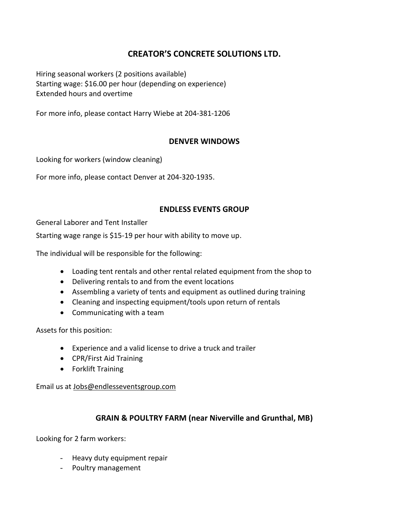# **CREATOR'S CONCRETE SOLUTIONS LTD.**

Hiring seasonal workers (2 positions available) Starting wage: \$16.00 per hour (depending on experience) Extended hours and overtime

For more info, please contact Harry Wiebe at 204-381-1206

# **DENVER WINDOWS**

Looking for workers (window cleaning)

For more info, please contact Denver at 204-320-1935.

#### **ENDLESS EVENTS GROUP**

General Laborer and Tent Installer

Starting wage range is \$15-19 per hour with ability to move up.

The individual will be responsible for the following:

- Loading tent rentals and other rental related equipment from the shop to
- Delivering rentals to and from the event locations
- Assembling a variety of tents and equipment as outlined during training
- Cleaning and inspecting equipment/tools upon return of rentals
- Communicating with a team

Assets for this position:

- Experience and a valid license to drive a truck and trailer
- CPR/First Aid Training
- Forklift Training

Email us at [Jobs@endlesseventsgroup.com](mailto:Jobs@endlesseventsgroup.com)

# **GRAIN & POULTRY FARM (near Niverville and Grunthal, MB)**

Looking for 2 farm workers:

- Heavy duty equipment repair
- Poultry management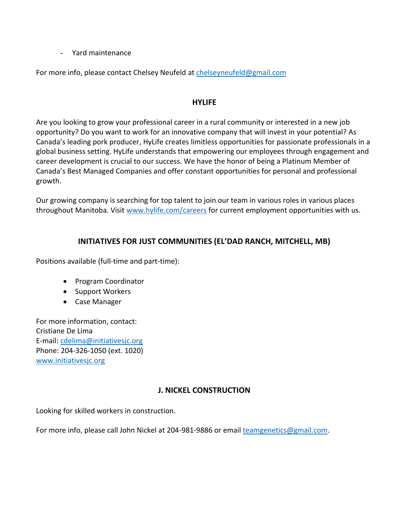- Yard maintenance

For more info, please contact Chelsey Neufeld at [chelseyneufeld@gmail.com](mailto:chelseyneufeld@gmail.com)

#### **HYLIFE**

Are you looking to grow your professional career in a rural community or interested in a new job opportunity? Do you want to work for an innovative company that will invest in your potential? As Canada's leading pork producer, HyLife creates limitless opportunities for passionate professionals in a global business setting. HyLife understands that empowering our employees through engagement and career development is crucial to our success. We have the honor of being a Platinum Member of Canada's Best Managed Companies and offer constant opportunities for personal and professional growth.

Our growing company is searching for top talent to join our team in various roles in various places throughout Manitoba. Visit [www.hylife.com/careers](http://www.hylife.com/careers) for current employment opportunities with us.

# **INITIATIVES FOR JUST COMMUNITIES (EL'DAD RANCH, MITCHELL, MB)**

Positions available (full-time and part-time):

- Program Coordinator
- Support Workers
- Case Manager

For more information, contact: Cristiane De Lima E-mail: [cdelima@initiativesjc.org](mailto:cdelima@initiativesjc.org) Phone: 204-326-1050 (ext. 1020) [www.initiativesjc.org](http://www.initiativesjc.org/)

# **J. NICKEL CONSTRUCTION**

Looking for skilled workers in construction.

For more info, please call John Nickel at 204-981-9886 or email [teamgenetics@gmail.com.](mailto:teamgenetics@gmail.com)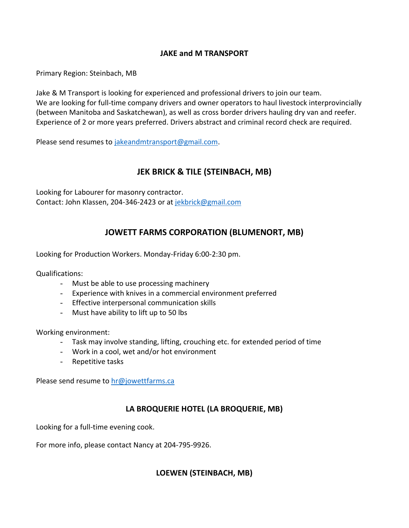### **JAKE and M TRANSPORT**

Primary Region: Steinbach, MB

Jake & M Transport is looking for experienced and professional drivers to join our team. We are looking for full-time company drivers and owner operators to haul livestock interprovincially (between Manitoba and Saskatchewan), as well as cross border drivers hauling dry van and reefer. Experience of 2 or more years preferred. Drivers abstract and criminal record check are required.

Please send resumes to [jakeandmtransport@gmail.com.](mailto:jakeandmtransport@gmail.com)

# **JEK BRICK & TILE (STEINBACH, MB)**

Looking for Labourer for masonry contractor. Contact: John Klassen, 204-346-2423 or at [jekbrick@gmail.com](mailto:jekbrick@gmail.com)

# **JOWETT FARMS CORPORATION (BLUMENORT, MB)**

Looking for Production Workers. Monday-Friday 6:00-2:30 pm.

Qualifications:

- Must be able to use processing machinery
- Experience with knives in a commercial environment preferred
- Effective interpersonal communication skills
- Must have ability to lift up to 50 lbs

Working environment:

- Task may involve standing, lifting, crouching etc. for extended period of time
- Work in a cool, wet and/or hot environment
- Repetitive tasks

Please send resume to [hr@jowettfarms.ca](mailto:hr@jowettfarms.ca)

# **LA BROQUERIE HOTEL (LA BROQUERIE, MB)**

Looking for a full-time evening cook.

For more info, please contact Nancy at 204-795-9926.

#### **LOEWEN (STEINBACH, MB)**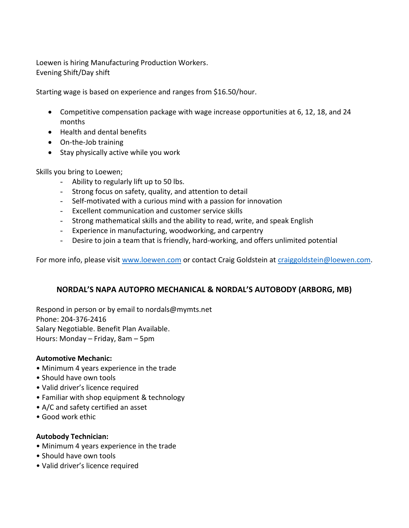Loewen is hiring Manufacturing Production Workers. Evening Shift/Day shift

Starting wage is based on experience and ranges from \$16.50/hour.

- Competitive compensation package with wage increase opportunities at 6, 12, 18, and 24 months
- Health and dental benefits
- On-the-Job training
- Stay physically active while you work

Skills you bring to Loewen;

- Ability to regularly lift up to 50 lbs.
- Strong focus on safety, quality, and attention to detail
- Self-motivated with a curious mind with a passion for innovation
- Excellent communication and customer service skills
- Strong mathematical skills and the ability to read, write, and speak English
- Experience in manufacturing, woodworking, and carpentry
- Desire to join a team that is friendly, hard-working, and offers unlimited potential

For more info, please visit [www.loewen.com](http://www.loewen.com/) or contact Craig Goldstein at [craiggoldstein@loewen.com.](mailto:craiggoldstein@loewen.com)

# **NORDAL'S NAPA AUTOPRO MECHANICAL & NORDAL'S AUTOBODY (ARBORG, MB)**

Respond in person or by email to nordals@mymts.net Phone: 204-376-2416 Salary Negotiable. Benefit Plan Available. Hours: Monday – Friday, 8am – 5pm

#### **Automotive Mechanic:**

- Minimum 4 years experience in the trade
- Should have own tools
- Valid driver's licence required
- Familiar with shop equipment & technology
- A/C and safety certified an asset
- Good work ethic

#### **Autobody Technician:**

- Minimum 4 years experience in the trade
- Should have own tools
- Valid driver's licence required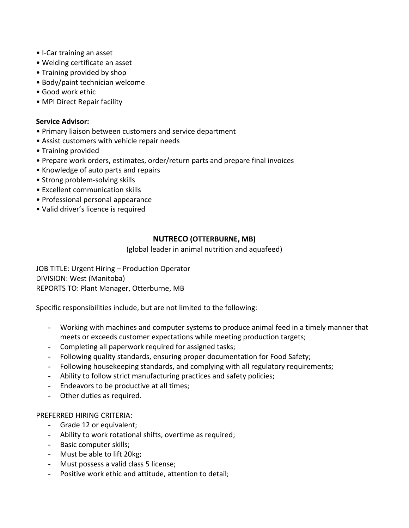- I-Car training an asset
- Welding certificate an asset
- Training provided by shop
- Body/paint technician welcome
- Good work ethic
- MPI Direct Repair facility

#### **Service Advisor:**

- Primary liaison between customers and service department
- Assist customers with vehicle repair needs
- Training provided
- Prepare work orders, estimates, order/return parts and prepare final invoices
- Knowledge of auto parts and repairs
- Strong problem-solving skills
- Excellent communication skills
- Professional personal appearance
- Valid driver's licence is required

#### **NUTRECO (OTTERBURNE, MB)**

(global leader in animal nutrition and aquafeed)

JOB TITLE: Urgent Hiring – Production Operator DIVISION: West (Manitoba) REPORTS TO: Plant Manager, Otterburne, MB

Specific responsibilities include, but are not limited to the following:

- Working with machines and computer systems to produce animal feed in a timely manner that meets or exceeds customer expectations while meeting production targets;
- Completing all paperwork required for assigned tasks;
- Following quality standards, ensuring proper documentation for Food Safety;
- Following housekeeping standards, and complying with all regulatory requirements;
- Ability to follow strict manufacturing practices and safety policies;
- Endeavors to be productive at all times;
- Other duties as required.

#### PREFERRED HIRING CRITERIA:

- Grade 12 or equivalent;
- Ability to work rotational shifts, overtime as required;
- Basic computer skills;
- Must be able to lift 20kg;
- Must possess a valid class 5 license;
- Positive work ethic and attitude, attention to detail;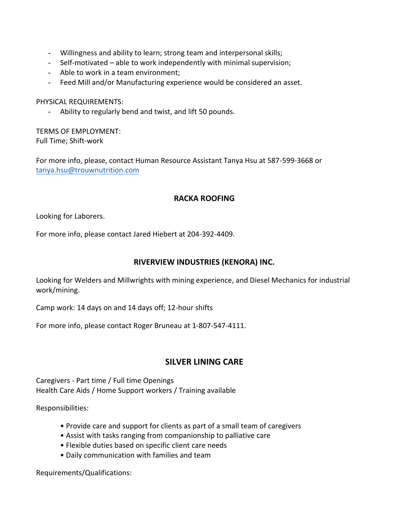- Willingness and ability to learn; strong team and interpersonal skills;
- Self-motivated able to work independently with minimal supervision;
- Able to work in a team environment;
- Feed Mill and/or Manufacturing experience would be considered an asset.

PHYSICAL REQUIREMENTS:

Ability to regularly bend and twist, and lift 50 pounds.

TERMS OF EMPLOYMENT: Full Time; Shift-work

For more info, please, contact Human Resource Assistant Tanya Hsu at 587-599-3668 or [tanya.hsu@trouwnutrition.com](mailto:tanya.hsu@trouwnutrition.com)

#### **RACKA ROOFING**

Looking for Laborers.

For more info, please contact Jared Hiebert at 204-392-4409.

#### **RIVERVIEW INDUSTRIES (KENORA) INC.**

Looking for Welders and Millwrights with mining experience, and Diesel Mechanics for industrial work/mining.

Camp work: 14 days on and 14 days off; 12-hour shifts

For more info, please contact Roger Bruneau at 1-807-547-4111.

# **SILVER LINING CARE**

Caregivers - Part time / Full time Openings Health Care Aids / Home Support workers / Training available

Responsibilities:

- Provide care and support for clients as part of a small team of caregivers
- Assist with tasks ranging from companionship to palliative care
- Flexible duties based on specific client care needs
- Daily communication with families and team

Requirements/Qualifications: